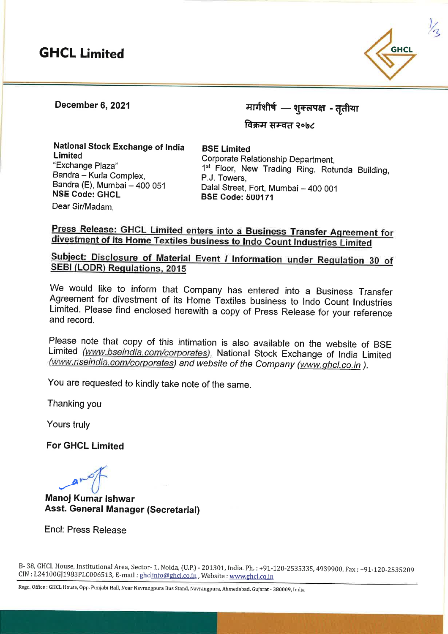## **GHCL Limited**



December 6, 2021

मार्गशीर्षे — शुक्लपक्ष - तृर्त

<sup>~</sup>**,8J-qd ~ol,~** 

**National Stock Exchange of India Limited** "Exchange Plaza" Bandra - Kurla Complex, Bandra (E), Mumbai - 400 051 **NSE Code: GHCL Dear** Sir/Madam,

**BSE Limited**  Corporate Relationship Department, 1<sup>st</sup> Floor, New Trading Ring, Rotunda Building, P.J. Towers, Dalal Street, Fort, Mumbai - 400 001 **BSE Code: b0U171** 

## **Press Release: GHCL Limited enters into a Business Transfer Agreement for divestment of its Home Textiles business to lndo Count Industries Limited**

## **Subject: Disclosure of Material Event** / **Information under Regulation <sup>30</sup>of SEBI (LODR) Regulations, 2015**

We would like to inform that Company has entered into a Business Transfer Agreement for divestment of its Home Textiles business to lndo Count Industries Limited. Please find enclosed herewith a copy of Press Release for your reference and record.

Please note that copy of this intimation is also available on the website of BSE Limited (www.bseindia.com/corporates), National Stock Exchange of India Limited (www.nseindia.com/corporates) and website of the Company (www.ghcl.co.in ).

You are requested to kindly take note of the same.

Thanking you

Yours truly

**For GHCL Limited** 

 $-$ 

**Manoj Kumar lshwar Asst. General Manager (Secretarial)** 

Encl: Press Release

B- 38, GHCL House, Institutional Area, Sector- 1, Noida, (U.P.) - 201301, India. Ph.: +91-120-2535335, 4939900, Fax : +91-120-2535209 CIN : L24100GJ1983PLC006513, E-mail : ghclinfo@ghcl.co.in , Website : www.ghcl.co.in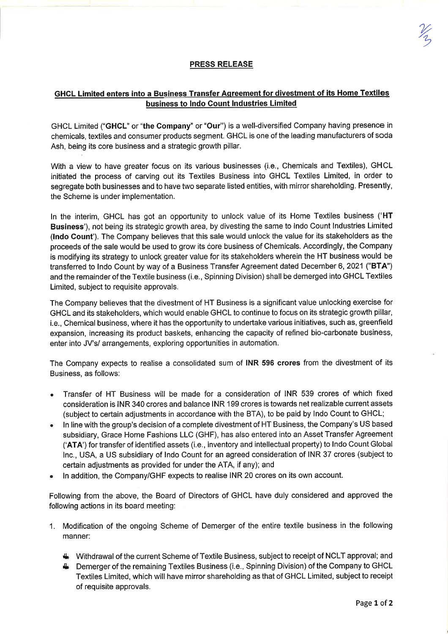## **GHCL Limited enters into a Business Transfer Agreement for divestment of its Home Textiles business to lndo Count Industries Limited**

GHCL Limited **("GHCL"** or **"the Company"** or **"Our")** is a well-diversified Company having presence in chemicals, textiles and consumer products segment. GHCL is one of the leading manufacturers of soda Ash, being its core business and a strategic growth pillar.

With a view to have greater focus on its various businesses (i.e., Chemicals and Textiles), GHCL initiated the process of carving out its Textiles Business into GHCL Textiles Limited, in order to segregate both businesses and to have two separate listed entities, with mirror shareholding. Presently, the Scheme is under implementation.

In the interim, GHCL has got an opportunity to unlock value of its Home Textiles business **('HT Business'),** not being its strategic growth area, by divesting the same to lndo Count Industries Limited **(lndo Count').** The Company believes that this sale would unlock the value for its stakeholders as the proceeds of the sale would be used to grow its core business of Chemicals. Accordingly, the Company is modifying its strategy to unlock greater value for its stakeholders wherein the HT business would be transferred to lndo Count by way of a Business Transfer Agreement dated December 6, 2021 **("BTA")**  and the remainder of the Textile business (i.e., Spinning Division) shall be demerged into GHCL Textiles Limited, subject to requisite approvals.

The Company believes that the divestment of HT Business is a significant value unlocking exercise for GHCL and its stakeholders, which would enable GHCL to continue to focus on its strategic growth pillar, i.e., Chemical business, where it has the opportunity to undertake various initiatives, such as, greenfield expansion, increasing its product baskets, enhancing the capacity of refined bio-carbonate business, enter into JV's/ arrangements, exploring opportunities in automation.

The Company expects to realise a consolidated sum of **INR 596 crores** from the divestment of its Business, as follows:

- Transfer of HT Business will be made for a consideration of lNR 539 crores of which fixed consideration is INR 340 crores and balance INR 199 crores is towards net realizable current assets (subject to certain adjustments in accordance with the STA), to be paid by lndo Count to GHCL;
- In line with the group's decision of a complete divestment of HT Business, the Company's US based subsidiary, Grace Home Fashions LLC (GHF), has also entered into an Asset Transfer Agreement **('AT A')** for transfer of identified assets (i.e., inventory and intellectual property) to lndo Count Global Inc., USA, a US subsidiary of lndo Count for an agreed consideration of INR 37 crores (subject to certain adjustments as provided for under the ATA, if any); and
- In addition, the Company/GHF expects to realise INR 20 crores on its own account.

Following from the above, the Board of Directors of GHCL have duly considered and approved the following actions in its board meeting:

- 1. Modification of the ongoing Scheme of Demerger of the entire textile business in the following manner:
	- **4.** Withdrawal of the current Scheme of Textile Business, subject to receipt of NCL T approval; and
	- **4** Demerger of the remaining Textiles Business (i.e., Spinning Division) of the Company to GHCL Textiles Limited, which will have mirror shareholding as that of GHCL Limited, subject to receipt of requisite approvals.